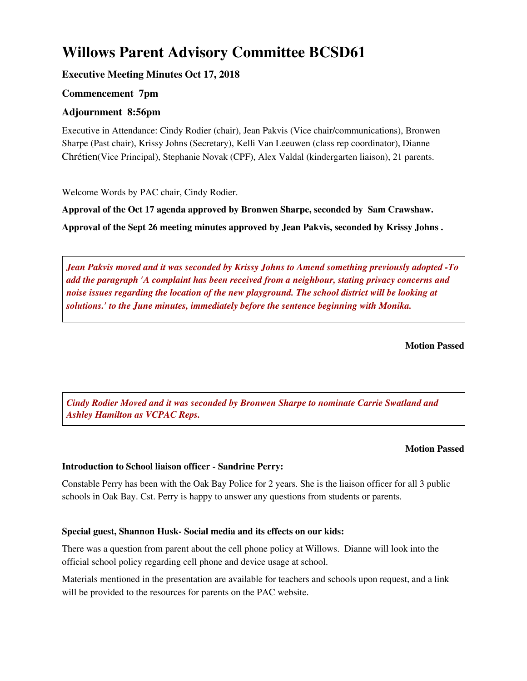# **Willows Parent Advisory Committee BCSD61**

# **Executive Meeting Minutes Oct 17, 2018**

# **Commencement 7pm**

## **Adjournment 8:56pm**

Executive in Attendance: Cindy Rodier (chair), Jean Pakvis (Vice chair/communications), Bronwen Sharpe (Past chair), Krissy Johns (Secretary), Kelli Van Leeuwen (class rep coordinator), Dianne Chrétien(Vice Principal), Stephanie Novak (CPF), Alex Valdal (kindergarten liaison), 21 parents.

Welcome Words by PAC chair, Cindy Rodier.

**Approval of the Oct 17 agenda approved by Bronwen Sharpe, seconded by Sam Crawshaw. Approval of the Sept 26 meeting minutes approved by Jean Pakvis, seconded by Krissy Johns .**

*Jean Pakvis moved and it was seconded by Krissy Johns to Amend something previously adopted -To add the paragraph 'A complaint has been received from a neighbour, stating privacy concerns and noise issues regarding the location of the new playground. The school district will be looking at solutions.' to the June minutes, immediately before the sentence beginning with Monika.*

**Motion Passed**

*Cindy Rodier Moved and it was seconded by Bronwen Sharpe to nominate Carrie Swatland and Ashley Hamilton as VCPAC Reps.*

## **Motion Passed**

## **Introduction to School liaison officer - Sandrine Perry:**

Constable Perry has been with the Oak Bay Police for 2 years. She is the liaison officer for all 3 public schools in Oak Bay. Cst. Perry is happy to answer any questions from students or parents.

## **Special guest, Shannon Husk- Social media and its effects on our kids:**

There was a question from parent about the cell phone policy at Willows. Dianne will look into the official school policy regarding cell phone and device usage at school.

Materials mentioned in the presentation are available for teachers and schools upon request, and a link will be provided to the resources for parents on the PAC website.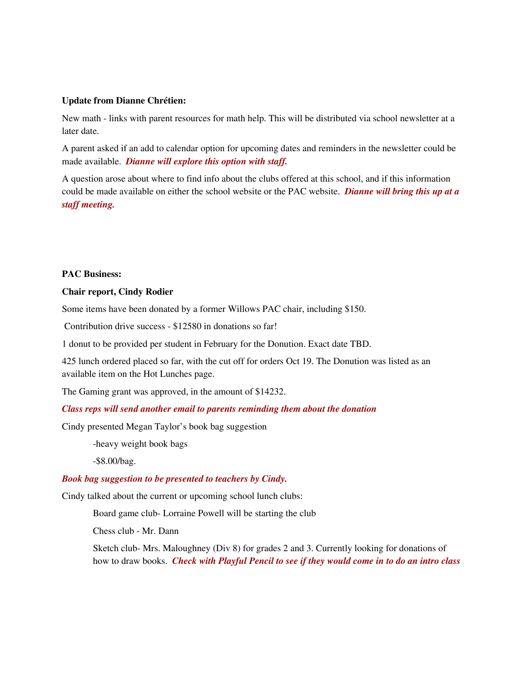#### **Update from Dianne Chrétien:**

New math - links with parent resources for math help. This will be distributed via school newsletter at a later date.

A parent asked if an add to calendar option for upcoming dates and reminders in the newsletter could be made available. *Dianne will explore this option with staff.*

A question arose about where to find info about the clubs offered at this school, and if this information could be made available on either the school website or the PAC website. *Dianne will bring this up at a staff meeting.*

## **PAC Business:**

#### **Chair report, Cindy Rodier**

Some items have been donated by a former Willows PAC chair, including \$150.

Contribution drive success - \$12580 in donations so far!

1 donut to be provided per student in February for the Donution. Exact date TBD.

425 lunch ordered placed so far, with the cut off for orders Oct 19. The Donution was listed as an available item on the Hot Lunches page.

The Gaming grant was approved, in the amount of \$14232.

#### *Class reps will send another email to parents reminding them about the donation*

Cindy presented Megan Taylor's book bag suggestion

-heavy weight book bags

-\$8.00/bag.

#### *Book bag suggestion to be presented to teachers by Cindy.*

Cindy talked about the current or upcoming school lunch clubs:

Board game club- Lorraine Powell will be starting the club

Chess club - Mr. Dann

Sketch club- Mrs. Maloughney (Div 8) for grades 2 and 3. Currently looking for donations of how to draw books. *Check with Playful Pencil to see if they would come in to do an intro class*